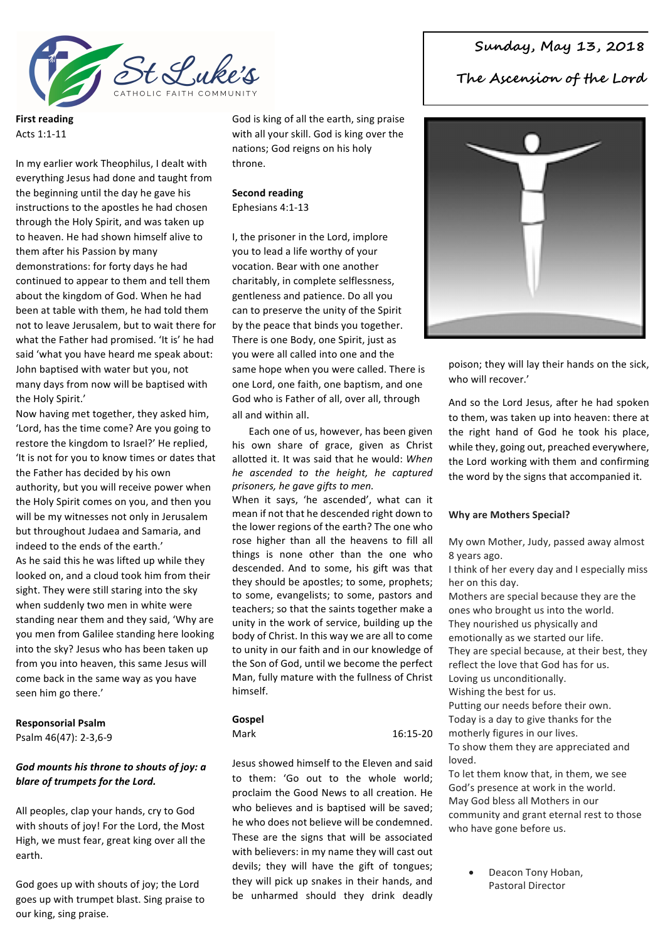

**First reading** Acts 1:1-11

In my earlier work Theophilus, I dealt with everything Jesus had done and taught from the beginning until the day he gave his instructions to the apostles he had chosen through the Holy Spirit, and was taken up to heaven. He had shown himself alive to them after his Passion by many demonstrations: for forty days he had continued to appear to them and tell them about the kingdom of God. When he had been at table with them, he had told them not to leave Jerusalem, but to wait there for what the Father had promised. 'It is' he had said 'what you have heard me speak about: John baptised with water but you, not many days from now will be baptised with the Holy Spirit.'

Now having met together, they asked him, 'Lord, has the time come? Are you going to restore the kingdom to Israel?' He replied, 'It is not for you to know times or dates that the Father has decided by his own authority, but you will receive power when the Holy Spirit comes on you, and then you will be my witnesses not only in Jerusalem but throughout Judaea and Samaria, and indeed to the ends of the earth.' As he said this he was lifted up while they looked on, and a cloud took him from their sight. They were still staring into the sky when suddenly two men in white were standing near them and they said, 'Why are you men from Galilee standing here looking into the sky? Jesus who has been taken up from you into heaven, this same Jesus will come back in the same way as you have seen him go there.'

#### **Responsorial Psalm**

Psalm 46(47): 2-3,6-9

## God mounts his throne to shouts of joy: a blare of trumpets for the Lord.

All peoples, clap your hands, cry to God with shouts of joy! For the Lord, the Most High, we must fear, great king over all the earth.

God goes up with shouts of joy; the Lord goes up with trumpet blast. Sing praise to our king, sing praise.

God is king of all the earth, sing praise with all your skill. God is king over the nations; God reigns on his holy throne.

#### **Second reading** Ephesians 4:1-13

I, the prisoner in the Lord, implore you to lead a life worthy of your vocation. Bear with one another charitably, in complete selflessness, gentleness and patience. Do all you can to preserve the unity of the Spirit by the peace that binds you together. There is one Body, one Spirit, just as you were all called into one and the same hope when you were called. There is one Lord, one faith, one baptism, and one God who is Father of all, over all, through all and within all.

Each one of us, however, has been given his own share of grace, given as Christ allotted it. It was said that he would: When *he ascended to the height, he captured prisoners, he gave gifts to men.*

When it says, 'he ascended', what can it mean if not that he descended right down to the lower regions of the earth? The one who rose higher than all the heavens to fill all things is none other than the one who descended. And to some, his gift was that they should be apostles; to some, prophets; to some, evangelists; to some, pastors and teachers: so that the saints together make a unity in the work of service, building up the body of Christ. In this way we are all to come to unity in our faith and in our knowledge of the Son of God, until we become the perfect Man, fully mature with the fullness of Christ himself.

## **Gospel**

Mark 16:15-20

Jesus showed himself to the Eleven and said to them: 'Go out to the whole world: proclaim the Good News to all creation. He who believes and is baptised will be saved; he who does not believe will be condemned. These are the signs that will be associated with believers: in my name they will cast out devils; they will have the gift of tongues; they will pick up snakes in their hands, and be unharmed should they drink deadly

# **Sunday, May 13, 2018**

**The Ascension of the Lord**



poison; they will lay their hands on the sick, who will recover.'

And so the Lord Jesus, after he had spoken to them, was taken up into heaven: there at the right hand of God he took his place, while they, going out, preached everywhere, the Lord working with them and confirming the word by the signs that accompanied it.

## **Why are Mothers Special?**

My own Mother, Judy, passed away almost 8 years ago.

I think of her every day and I especially miss her on this day.

Mothers are special because they are the ones who brought us into the world. They nourished us physically and

emotionally as we started our life.

They are special because, at their best, they reflect the love that God has for us.

Loving us unconditionally. Wishing the best for us.

Putting our needs before their own.

Today is a day to give thanks for the

motherly figures in our lives.

To show them they are appreciated and loved.

To let them know that, in them, we see God's presence at work in the world. May God bless all Mothers in our community and grant eternal rest to those who have gone before us.

> Deacon Tony Hoban. Pastoral Director